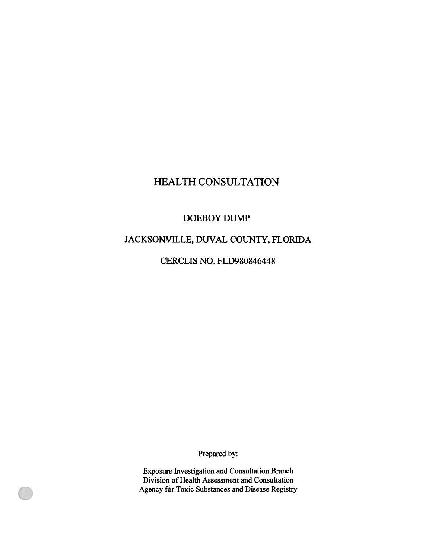# HEALTH CONSULTATION

## DOEBOY DUMP

JACKSONVILLE, DUVAL COUNTY, FLORIDA

C!ERCLIS NO. FLD980846448

Prepared by:

Exposure Investigation and Consultation Branch Division of Health Assessment and Consultation Agency for Toxic Substances and Disease Registry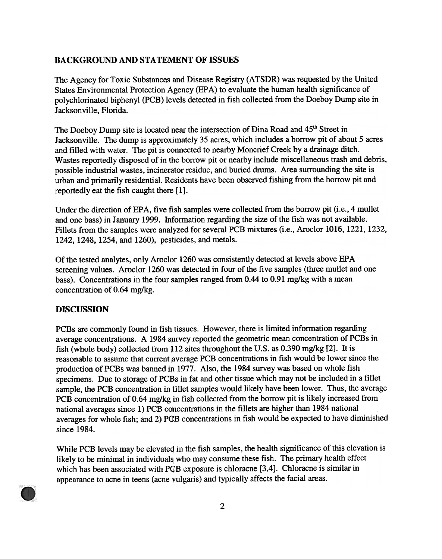## BACKGROUND AND STATEMENT OF ISSUES

The Agency for Toxic Substances and Disease Registry (ATSDR) was requested by the United States Environmental Protection Agency (EPA) to evaluate the human health significance of polychlorinated biphenyl (PCB) levels detected in fish collected from the Doeboy Dump site in Jacksonville, Florida.

The Doeboy Dump site is located near the intersection of Dina Road and 45<sup>th</sup> Street in Jacksonville. The dump is approximately 35 acres, which includes a borrow pit of about 5 acres and filled with water. The pit is connected to nearby Moncrief Creek by a drainage ditch. Wastes reportedly disposed of in the borrow pit or nearby include miscellaneous trash and debris, possible industrial wastes, incinerator residue, and buried drums. Area surrounding the site is urban and primarily residential. Residents have been observed fishing from the borrow pit and reportedly eat the fish caught there [1].

Under the direction of EPA, five fish samples were collected from the borrow pit (i.e., 4 mullet and one bass) in January 1999. Information regarding the size of the fish was not available. Fillets from the samples were analyzed for several PCB mixtures (i.e., Aroclor 1016, 1221, 1232, 1242, 1248, 1254, and 1260), pesticides, and metals.

Of the tested analytes, only Aroclor 1260 was consistently detected at levels above EP A screening values. Aroclor 1260 was detected in four of the five samples (three mullet and one bass). Concentrations in the four samples ranged from 0.44 to 0.91 mg/kg with a mean concentration of 0.64 mg/kg.

## DISCUSSION

PCBs are commonly found in fish tissues. However, there is limited information regarding average concentrations. A 1984 survey reported the geometric mean concentration of PCBs in fish (whole body) collected from 112 sites throughout the U.S. as 0.390 mg/kg  $[2]$ . It is reasonable to assume that current average PCB concentrations in fish would be lower since the production of PCBs was banned ip 1977. Also, the 1984 survey was based on whole fish specimens. Due to storage of PCBs in fat and other tissue which may not be included in a fillet sample, the PCB concentration in fillet samples would likely have been lower. Thus, the average PCB concentration of 0.64 mg/kg in fish collected from the borrow pit is likely increased from national averages since 1) PCB concentrations in the fillets are higher than 1984 national averages for whole fish; and 2) PCB concentrations in fish would be expected to have diminished since 1984.

While PCB levels may be elevateq in the fish samples, the health significance of this elevation is likely to be minimal in individuals who may consume these fish. The primary health effect which has been associated with PGB exposure is chloracne [3,4]. Chloracne is similar in appearance to acne in teens (acne vulgaris) and typically affects the facial areas.

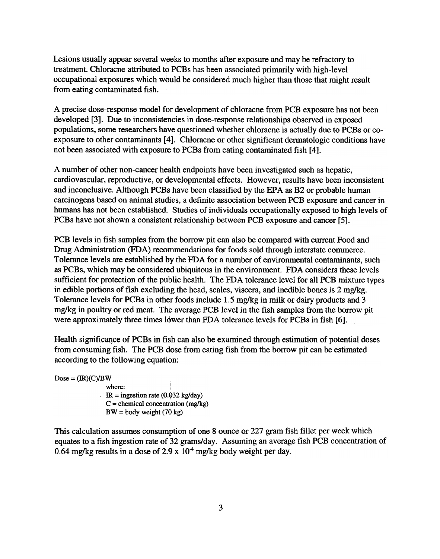Lesions usually appear several weeks to months after exposure and may be refractory to treatment. Chloracne attributed to PCBs has been associated primarily with high-level occupational exposures which would be considered much higher than those that might result from eating contaminated fish.

A precise dose-response model fpr development of chloracne from PCB exposure has not been developed [3]. Due to inconsistencies in dose-response relationships observed in exposed populations, some researchers have questioned whether chloracne is actually due to PCBs or coexposure to other contaminants  $[4]$ . Chloracne or other significant dermatologic conditions have not been associated with exposure to PCBs from eating contaminated fish [4].

A number of other non-cancer health endpoints have been investigated such as hepatic, cardiovascular, reproductive, or developmental effects. However, results have been inconsistent and inconclusive. Although PCBs have been classified by the EPA as B2 or probable human carcinogens based on animal studies, a definite association between PCB exposure and cancer in humans has not been established.' Studies of individuals occupationally exposed to high levels of PCBs have not shown a consistent relationship between PCB exposure and cancer [5].

PCB levels in fish samples from the borrow pit can also be compared with current Food and Drug Administration (FDA) recommendations for foods sold through interstate commerce. Tolerance levels are established by the FDA for a number of environmental contaminants, such as PCBs, which may be considered ubiquitous in the environment. FDA considers these levels sufficient for protection of the public health. The FDA tolerance level for all PCB mixture types in edible portions of fish excluding the head, scales, viscera, and inedible bones is  $2 \text{ mg/kg}$ . Tolerance levels for PCBs in other foods include 1.5 mg/kg in milk or dairy products and 3 mg/kg in poultry or red meat. The average PCB level in the fish samples from the borrow pit were approximately three times lower than FDA tolerance levels for PCBs in fish [6].

Health significance of PCBs in fish can also be examined through estimation of potential doses from consuming fish. The PCB dose from eating fish from the borrow pit can be estimated according to the following equation:

 $Dose = (IR)(C)/BW$ 

where:  $IR = ingestion rate (0.032 kg/day)$  $C =$  chemical concentration (mg/kg)  $BW = body weight (70 kg)$ 

This calculation assumes consumption of one 8 ounce or 227 gram fish fillet per week which equates to a fish ingestion rate of 32 grams/day. Assuming an average fish PCB concentration of 0.64 mg/kg results in a dose of 2.9 x  $10<sup>4</sup>$  mg/kg body weight per day.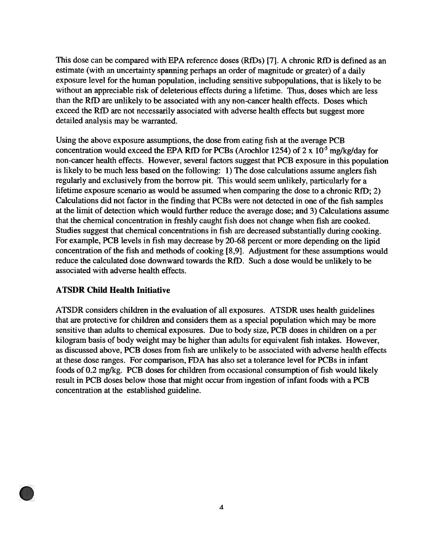This dose can be compared with EPA reference doses (RfDs) [7]. A chronic RfD is defined as an estimate (with an uncertainty spanning perhaps an order of magnitude or greater) of a daily exposure level for the human population, including sensitive subpopulations, that is likely to be without an appreciable risk of deleterious effects during a lifetime. Thus, doses which are less than the RfD are unlikely to be associated with any non-cancer health effects. Doses which exceed the RfD are not necessarily associated with adverse health effects but suggest more detailed analysis may be warranted.

Using the above exposure assumptions, the dose from eating fish at the average PCB concentration would exceed the EPA RfD for PCBs (Arochlor 1254) of 2 x  $10^{-5}$  mg/kg/day for non-cancer health effects. However, several factors suggest that PCB exposure in this population is likely to be much less based on the following: 1) The dose calculations assume anglers fish regularly and exclusively from the borrow pit. This would seem unlikely, particularly for a lifetime exposure scenario as would be assumed when comparing the dose to a chronic  $RfD$ ; 2) Calculations did not factor in the finding that PCBs were not detected in one of the fish samples at the limit of detection which wbuld further reduce the average dose; and 3) Calculations assume that the chemical concentration in freshly caught fish does not change when fish are cooked. Studies suggest that chemical concentrations in fish are decreased substantially during cooking. For example, PCB levels in fish may decrease by 20-68 percent or more depending on the lipid concentration of the fish and methods of cooking [8,9]. Adjustment for these assumptions would reduce the calculated dose downward towards the RfD. Such a dose would be unlikely to be associated with adverse health effects.

## ATSDR Child Health Initiative

ATSDR considers children in the evaluation of all exposures. ATSDR uses health guidelines that are protective for children and considers them as a special population which may be more sensitive than adults to chemical exposures. Due to body size, PCB doses in children on a per kilogram basis of body weight may be higher than adults for equivalent fish intakes. However, as discussed above, PCB doses from fish are unlikely to be associated with adverse health effects at these dose ranges. For comparison, FDA has also set a tolerance level for PCBs in infant foods of 0.2 mg/kg. PCB doses for children from occasional consumption of fish would likely result in PCB doses below those that might occur from ingestion of infant foods with a PCB concentration at the established guideline.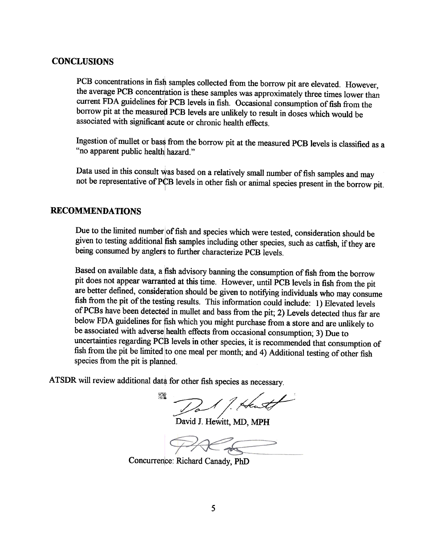#### CONCLUSIONS

PCB concentrations in fish samples collected from the borrow pit are elevated. However, the average PCB concentration is these samples was approximately three times lower than current FDA guidelines for PCB levels in fish. Occasional consumption of fish from the borrow pit at the measured PCB levels are unlikely to result in doses which would be associated with significant acute or chronic health effects.

Ingestion of mullet or bass from the borrow pit at the measured PCB levels is classified as a "no apparent public health hazard."

Data used in this consult was based on a relatively small number of fish samples and may not be representative of PCB levels in other fish or animal species present in the borrow pit.

#### RECOMMENDATIONS

Due to the limited number of fish and species which were tested, consideration should be given to testing additional fish samples including other species, such as catfish, if they are being consumed by anglers to further characterize PCB levels.

Based on available data, a fish advisory banning the consumption of fish from the borrow pit does not appear warranted at this time. However, until PCB levels in fish from the pit are better defined, consideration should be given to notifying individuals who may consume fish from the pit of the testing results. This information could include: 1) Elevated levels of PCBs have been detected in mullet and bass from the pit; 2) Levels detected thus far are below FDA guidelines for fish which you might purchase from a store and are unlikely to be associated with adverse health effects from occasional consumption; 3) Due to uncertainties regarding PCB levels in other species, it is recommended that consumption of fish from the pit be limited to one meal per month; and 4) Additional testing of other fish species from the pit is planned.

ATSDR will review additional data for other fish species as necessary.

Dal 1. Hente ZA.

David J. Hewitt, MD, MPH

Concurrence: Richard Canady, PhD